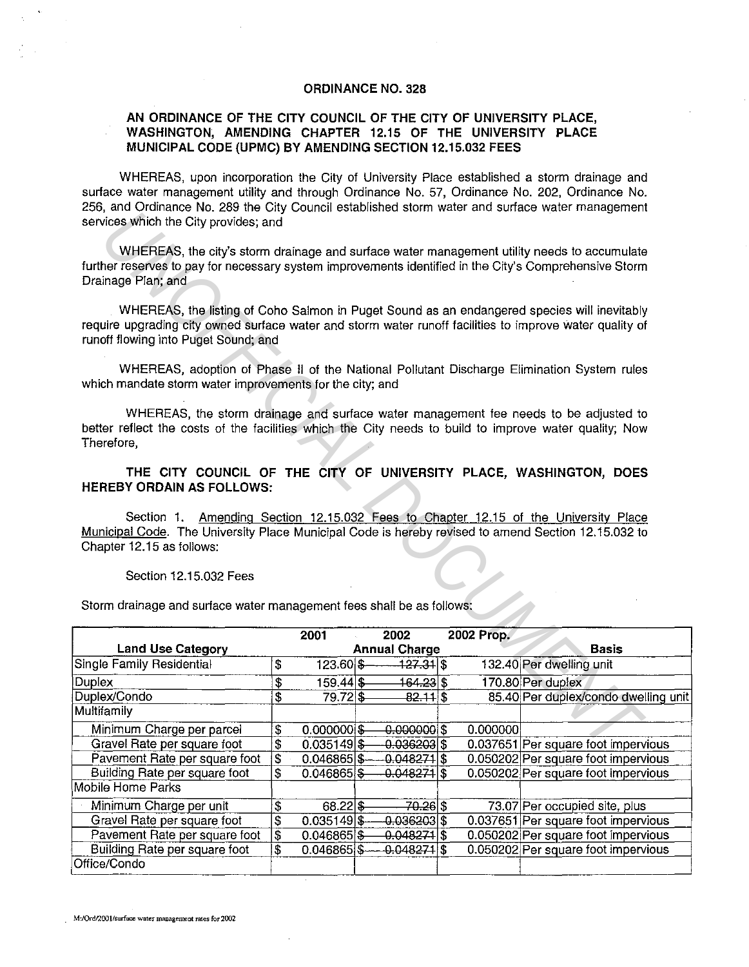## **ORDINANCE NO. 328**

## AN ORDINANCE OF THE CITY COUNCIL OF THE CITY OF UNIVERSITY PLACE, **WASHINGTON, AMENDING CHAPTER 12.15 OF THE UNIVERSITY PLACE MUNICIPAL CODE (UPMC) BY AMENDING SECTION 12.15.032 FEES**

WHEREAS, upon incorporation the City of University Place established a storm drainage and surface water management utility and through Ordinance No. 57, Ordinance No. 202, Ordinance No. 256, and Ordinance No. 289 the City Council established storm water and surface water management services which the City provides; and

## Section 12.15.032 Fees

| and Ordinative Ho. Edu and Only Openion conditioned Storm water and behidded water management<br>services which the City provides; and                                                                                                                                                                                        |                                              |                |  |                                                        |  |            |                                      |
|-------------------------------------------------------------------------------------------------------------------------------------------------------------------------------------------------------------------------------------------------------------------------------------------------------------------------------|----------------------------------------------|----------------|--|--------------------------------------------------------|--|------------|--------------------------------------|
| WHEREAS, the city's storm drainage and surface water management utility needs to accumulate<br>further reserves to pay for necessary system improvements identified in the City's Comprehensive Storm<br>Drainage Plan; and                                                                                                   |                                              |                |  |                                                        |  |            |                                      |
| WHEREAS, the listing of Coho Salmon in Puget Sound as an endangered species will inevitably<br>require upgrading city owned surface water and storm water runoff facilities to improve water quality of<br>runoff flowing into Puget Sound; and                                                                               |                                              |                |  |                                                        |  |            |                                      |
| WHEREAS, adoption of Phase II of the National Pollutant Discharge Elimination System rules<br>which mandate storm water improvements for the city; and                                                                                                                                                                        |                                              |                |  |                                                        |  |            |                                      |
| WHEREAS, the storm drainage and surface water management fee needs to be adjusted to<br>better reflect the costs of the facilities which the City needs to build to improve water quality; Now<br>Therefore,                                                                                                                  |                                              |                |  |                                                        |  |            |                                      |
| THE CITY COUNCIL OF THE CITY OF UNIVERSITY PLACE, WASHINGTON, DOES<br><b>HEREBY ORDAIN AS FOLLOWS:</b>                                                                                                                                                                                                                        |                                              |                |  |                                                        |  |            |                                      |
| Amending Section 12.15.032 Fees to Chapter 12.15 of the University Place<br>Section 1.<br>Municipal Code. The University Place Municipal Code is hereby revised to amend Section 12.15.032 to<br>Chapter 12.15 as follows:<br>Section 12.15.032 Fees<br>Storm drainage and surface water management fees shall be as follows: |                                              |                |  |                                                        |  |            |                                      |
|                                                                                                                                                                                                                                                                                                                               |                                              |                |  |                                                        |  |            |                                      |
|                                                                                                                                                                                                                                                                                                                               |                                              | 2001           |  | 2002                                                   |  | 2002 Prop. |                                      |
| <b>Land Use Category</b>                                                                                                                                                                                                                                                                                                      |                                              |                |  | <b>Annual Charge</b>                                   |  |            | <b>Basis</b>                         |
| Single Family Residential                                                                                                                                                                                                                                                                                                     | \$                                           | $123.60$ \$    |  | <u> 127.31 \$</u>                                      |  |            | 132.40 Per dwelling unit             |
| Duplex                                                                                                                                                                                                                                                                                                                        | $\overline{\mathcal{E}}$                     | $159.44$ \$    |  | 164.23∣\$                                              |  |            | 170.80 Per duplex                    |
| Duplex/Condo                                                                                                                                                                                                                                                                                                                  | \$                                           | $79.72$ \$     |  | $82.11$ \$                                             |  |            | 85.40 Per duplex/condo dwelling unit |
| Multifamily                                                                                                                                                                                                                                                                                                                   |                                              |                |  |                                                        |  |            |                                      |
| Minimum Charge per parcel                                                                                                                                                                                                                                                                                                     | \$                                           | 0.000000       |  | $-0.0000001$ \$                                        |  | 0.000000   |                                      |
| Gravel Rate per square foot                                                                                                                                                                                                                                                                                                   | \$                                           | $0.035149$ \$  |  | $-0.036203$ \$                                         |  |            | 0.037651 Per square foot impervious  |
| Pavement Rate per square foot                                                                                                                                                                                                                                                                                                 | \$                                           |                |  | $0.046865$ $\frac{\$}{\$}$ $-0.048271$ $\frac{\$}{\$}$ |  |            | 0.050202 Per square foot impervious  |
| Building Rate per square foot                                                                                                                                                                                                                                                                                                 | \$                                           | 0.046865       |  | -0.048271 \$                                           |  |            | 0.050202 Per square foot impervious  |
| Mobile Home Parks                                                                                                                                                                                                                                                                                                             |                                              |                |  |                                                        |  |            |                                      |
| Minimum Charge per unit                                                                                                                                                                                                                                                                                                       |                                              | 68.22          |  | 70.26 \$                                               |  |            | 73.07 Per occupied site, plus        |
| Gravel Rate per square foot                                                                                                                                                                                                                                                                                                   | \$<br>$\overline{\boldsymbol{\mathfrak{s}}}$ | 0.035149       |  | 0.036203                                               |  |            | 0.037651 Per square foot impervious  |
| Pavement Rate per square foot                                                                                                                                                                                                                                                                                                 | $\overline{\boldsymbol{\mathfrak{s}}}$       | 0.046865       |  | $-0.048271$ \$                                         |  |            | 0.050202 Per square foot impervious  |
| Building Rate per square foot<br>Office/Condo                                                                                                                                                                                                                                                                                 | $\overline{\mathbf{S}}$                      | $0.046865$ \$- |  | $-0.048274$ \$                                         |  |            | 0.050202 Per square foot impervious  |

**M:/Ord/2001!surface water management rates for200Z**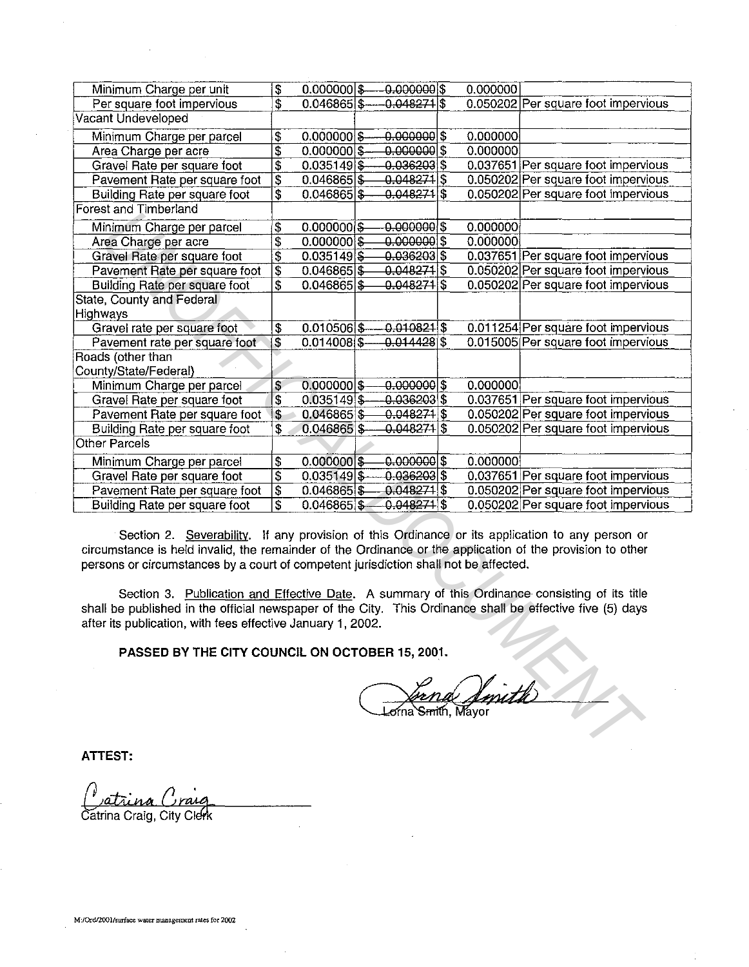| Minimum Charge per unit                                                                                                                                                                                                                                                                                                                                                                                                                                                                                                                                                                                                               | $\overline{\boldsymbol{\mathsf{s}}}$   | $0.000000$ \$  |  | $0.000000$ \$            |  | 0.000000 |                                     |
|---------------------------------------------------------------------------------------------------------------------------------------------------------------------------------------------------------------------------------------------------------------------------------------------------------------------------------------------------------------------------------------------------------------------------------------------------------------------------------------------------------------------------------------------------------------------------------------------------------------------------------------|----------------------------------------|----------------|--|--------------------------|--|----------|-------------------------------------|
| Per square foot impervious                                                                                                                                                                                                                                                                                                                                                                                                                                                                                                                                                                                                            | \$                                     | 0.046865       |  | -0.048271 \$             |  |          | 0.050202 Per square foot impervious |
| Vacant Undeveloped                                                                                                                                                                                                                                                                                                                                                                                                                                                                                                                                                                                                                    |                                        |                |  |                          |  |          |                                     |
| Minimum Charge per parcel                                                                                                                                                                                                                                                                                                                                                                                                                                                                                                                                                                                                             | $\frac{3}{2}$                          | $0.000000$ \$- |  | $-0.000000 $ \$          |  | 0.000000 |                                     |
| Area Charge per acre                                                                                                                                                                                                                                                                                                                                                                                                                                                                                                                                                                                                                  | $ \overline{\$}$                       | 0.000000       |  | $0.000000$ \$            |  | 0.000000 |                                     |
| Gravel Rate per square foot                                                                                                                                                                                                                                                                                                                                                                                                                                                                                                                                                                                                           | $\overline{\mathfrak{s}}$              | $0.035149$ \$  |  | $0.036203$ \$            |  |          | 0.037651 Per square foot impervious |
| Pavement Rate per square foot                                                                                                                                                                                                                                                                                                                                                                                                                                                                                                                                                                                                         | 3                                      | $0.046865$ $$$ |  | $0.048271$  \$           |  |          | 0.050202 Per square foot impervious |
| Building Rate per square foot                                                                                                                                                                                                                                                                                                                                                                                                                                                                                                                                                                                                         | $\overline{\mathbf{s}}$                | 0.046865       |  | $-0.048271$ \$           |  |          | 0.050202 Per square foot impervious |
| Forest and Timberland                                                                                                                                                                                                                                                                                                                                                                                                                                                                                                                                                                                                                 |                                        |                |  |                          |  |          |                                     |
| Minimum Charge per parcel                                                                                                                                                                                                                                                                                                                                                                                                                                                                                                                                                                                                             | \$                                     | $0.000000$ \$  |  | $0.000000$ \$            |  | 0.000000 |                                     |
| Area Charge per acre                                                                                                                                                                                                                                                                                                                                                                                                                                                                                                                                                                                                                  | $\overline{\boldsymbol{\mathfrak{s}}}$ | 0.000000       |  | $0.000000$ \$            |  | 0.000000 |                                     |
| Gravel Rate per square foot                                                                                                                                                                                                                                                                                                                                                                                                                                                                                                                                                                                                           | $\overline{s}$                         | 0.035149       |  | $0.036203$ \$            |  |          | 0.037651 Per square foot impervious |
| Pavement Rate per square foot                                                                                                                                                                                                                                                                                                                                                                                                                                                                                                                                                                                                         | $\overline{\mathsf{s}}$                | 0.046865       |  | -0.048 <del>271</del> \$ |  |          | 0.050202 Per square foot impervious |
| Building Rate per square foot                                                                                                                                                                                                                                                                                                                                                                                                                                                                                                                                                                                                         | $\overline{\boldsymbol{s}}$            | 0.046865       |  | $0.048274$ \$            |  |          | 0.050202 Per square foot impervious |
| State, County and Federal                                                                                                                                                                                                                                                                                                                                                                                                                                                                                                                                                                                                             |                                        |                |  |                          |  |          |                                     |
| Highways                                                                                                                                                                                                                                                                                                                                                                                                                                                                                                                                                                                                                              |                                        |                |  |                          |  |          |                                     |
| Gravel rate per square foot                                                                                                                                                                                                                                                                                                                                                                                                                                                                                                                                                                                                           | \$                                     | $0.010506$ \$- |  | $0.010821$ \$            |  |          | 0.011254 Per square foot impervious |
| Pavement rate per square foot                                                                                                                                                                                                                                                                                                                                                                                                                                                                                                                                                                                                         | $\overline{\mathbf{3}}$                | $0.014008$ \$  |  | $0.014428$ \$            |  |          | 0.015005 Per square foot impervious |
| Roads (other than                                                                                                                                                                                                                                                                                                                                                                                                                                                                                                                                                                                                                     |                                        |                |  |                          |  |          |                                     |
| County/State/Federal)                                                                                                                                                                                                                                                                                                                                                                                                                                                                                                                                                                                                                 |                                        |                |  |                          |  |          |                                     |
| Minimum Charge per parcel                                                                                                                                                                                                                                                                                                                                                                                                                                                                                                                                                                                                             | \$                                     | $0.000000$ \$  |  | $0.000000 $ \$           |  | 0.000000 |                                     |
| Gravel Rate per square foot                                                                                                                                                                                                                                                                                                                                                                                                                                                                                                                                                                                                           | $\overline{\mathbf{3}}$                | $0.035149$ \$- |  | $-0.036203$ \$           |  |          | 0.037651 Per square foot impervious |
| Pavement Rate per square foot                                                                                                                                                                                                                                                                                                                                                                                                                                                                                                                                                                                                         | \$                                     | 0.046865       |  | $0.048274$ \$            |  |          | 0.050202 Per square foot impervious |
| Building Rate per square foot                                                                                                                                                                                                                                                                                                                                                                                                                                                                                                                                                                                                         | \$                                     | $0.046865$ \$  |  | $-0.048271$  \$          |  |          | 0.050202 Per square foot impervious |
| Other Parcels                                                                                                                                                                                                                                                                                                                                                                                                                                                                                                                                                                                                                         |                                        |                |  |                          |  |          |                                     |
| Minimum Charge per parcel                                                                                                                                                                                                                                                                                                                                                                                                                                                                                                                                                                                                             | \$                                     | $0.000000$ \$  |  | $-0.000000$              |  | 0.000000 |                                     |
| Gravel Rate per square foot                                                                                                                                                                                                                                                                                                                                                                                                                                                                                                                                                                                                           | $\overline{\mathfrak{s}}$              | $0.035149$ \$  |  | 0.036203                 |  |          | 0.037651 Per square foot impervious |
| Pavement Rate per square foot                                                                                                                                                                                                                                                                                                                                                                                                                                                                                                                                                                                                         | $\overline{\mathfrak{s}}$              | 0.046865       |  | $0.048271$ \$            |  |          | 0.050202 Per square foot impervious |
| Building Rate per square foot                                                                                                                                                                                                                                                                                                                                                                                                                                                                                                                                                                                                         | $\overline{\mathbf{s}}$                | 0.046865       |  | $0.048271$ \$            |  |          | 0.050202 Per square foot impervious |
| Section 2. Severability. If any provision of this Ordinance or its application to any person or<br>circumstance is held invalid, the remainder of the Ordinance or the application of the provision to other<br>persons or circumstances by a court of competent jurisdiction shall not be affected.<br>Section 3. Publication and Effective Date. A summary of this Ordinance consisting of its title<br>shall be published in the official newspaper of the City. This Ordinance shall be effective five (5) days<br>after its publication, with fees effective January 1, 2002.<br>PASSED BY THE CITY COUNCIL ON OCTOBER 15, 2001. |                                        |                |  |                          |  |          |                                     |
|                                                                                                                                                                                                                                                                                                                                                                                                                                                                                                                                                                                                                                       |                                        |                |  |                          |  |          |                                     |

**ATTEST:** 

Catrina Craig, City Clerk

**M:/Ord/2001/surface water management rates for 2002**